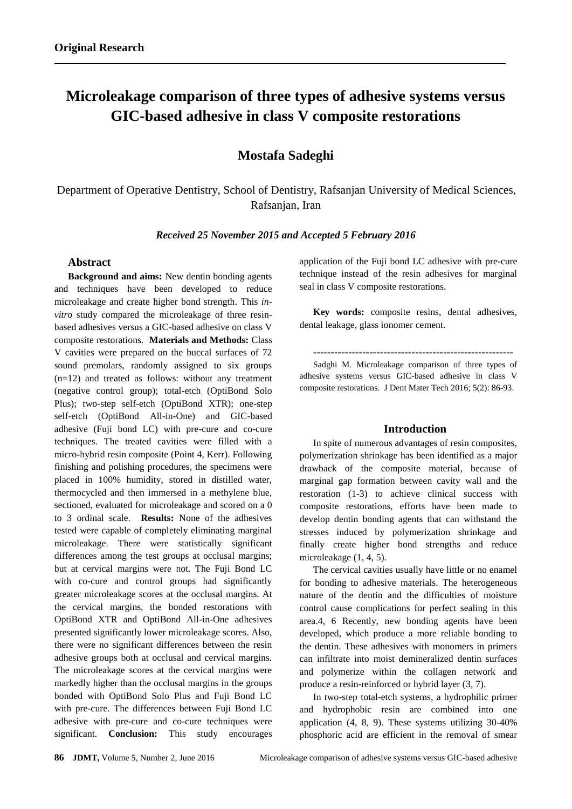# **Microleakage comparison of three types of adhesive systems versus GIC-based adhesive in class V composite restorations**

# **Mostafa Sadeghi**

Department of Operative Dentistry, School of Dentistry, Rafsanjan University of Medical Sciences, Rafsanjan, Iran

*Received 25 November 2015 and Accepted 5 February 2016*

## **Abstract**

**Background and aims:** New dentin bonding agents and techniques have been developed to reduce microleakage and create higher bond strength. This *invitro* study compared the microleakage of three resinbased adhesives versus a GIC-based adhesive on class V composite restorations. **Materials and Methods:** Class V cavities were prepared on the buccal surfaces of 72 sound premolars, randomly assigned to six groups (n=12) and treated as follows: without any treatment (negative control group); total-etch (OptiBond Solo Plus); two-step self-etch (OptiBond XTR); one-step self-etch (OptiBond All-in-One) and GIC-based adhesive (Fuji bond LC) with pre-cure and co-cure techniques. The treated cavities were filled with a micro-hybrid resin composite (Point 4, Kerr). Following finishing and polishing procedures, the specimens were placed in 100% humidity, stored in distilled water, thermocycled and then immersed in a methylene blue, sectioned, evaluated for microleakage and scored on a 0 to 3 ordinal scale. **Results:** None of the adhesives tested were capable of completely eliminating marginal microleakage. There were statistically significant differences among the test groups at occlusal margins; but at cervical margins were not. The Fuji Bond LC with co-cure and control groups had significantly greater microleakage scores at the occlusal margins. At the cervical margins, the bonded restorations with OptiBond XTR and OptiBond All-in-One adhesives presented significantly lower microleakage scores. Also, there were no significant differences between the resin adhesive groups both at occlusal and cervical margins. The microleakage scores at the cervical margins were markedly higher than the occlusal margins in the groups bonded with OptiBond Solo Plus and Fuji Bond LC with pre-cure. The differences between Fuji Bond LC adhesive with pre-cure and co-cure techniques were significant. **Conclusion:** This study encourages

application of the Fuji bond LC adhesive with pre-cure technique instead of the resin adhesives for marginal seal in class V composite restorations.

**Key words:** composite resins, dental adhesives, dental leakage, glass ionomer cement.

**---------------------------------------------------------**

Sadghi M. Microleakage comparison of three types of adhesive systems versus GIC-based adhesive in class V composite restorations. J Dent Mater Tech 2016; 5(2): 86-93.

# **Introduction**

In spite of numerous advantages of resin composites, polymerization shrinkage has been identified as a major drawback of the composite material, because of marginal gap formation between cavity wall and the restoration (1-3) to achieve clinical success with composite restorations, efforts have been made to develop dentin bonding agents that can withstand the stresses induced by polymerization shrinkage and finally create higher bond strengths and reduce microleakage (1, 4, 5).

The cervical cavities usually have little or no enamel for bonding to adhesive materials. The heterogeneous nature of the dentin and the difficulties of moisture control cause complications for perfect sealing in this area.4, 6 Recently, new bonding agents have been developed, which produce a more reliable bonding to the dentin. These adhesives with monomers in primers can infiltrate into moist demineralized dentin surfaces and polymerize within the collagen network and produce a resin-reinforced or hybrid layer (3, 7).

In two-step total-etch systems, a hydrophilic primer and hydrophobic resin are combined into one application (4, 8, 9). These systems utilizing 30-40% phosphoric acid are efficient in the removal of smear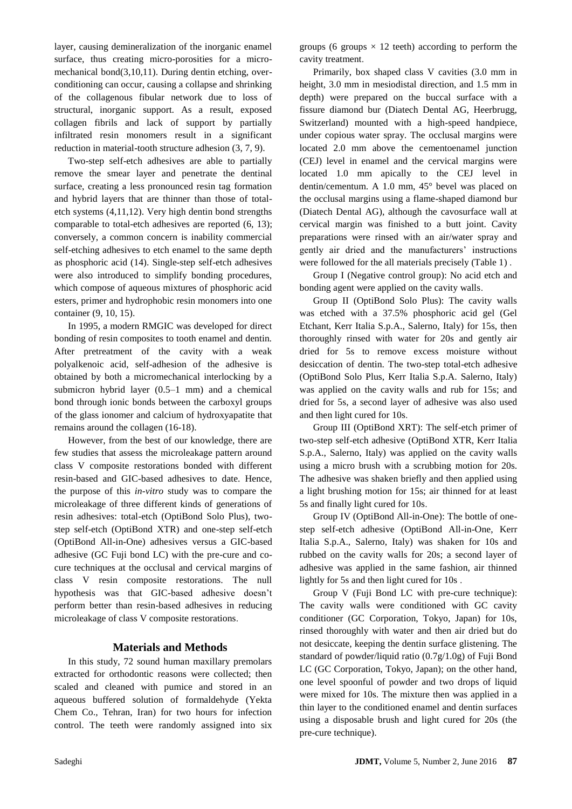layer, causing demineralization of the inorganic enamel surface, thus creating micro-porosities for a micromechanical bond(3,10,11). During dentin etching, overconditioning can occur, causing a collapse and shrinking of the collagenous fibular network due to loss of structural, inorganic support. As a result, exposed collagen fibrils and lack of support by partially infiltrated resin monomers result in a significant reduction in material-tooth structure adhesion (3, 7, 9).

Two-step self-etch adhesives are able to partially remove the smear layer and penetrate the dentinal surface, creating a less pronounced resin tag formation and hybrid layers that are thinner than those of totaletch systems (4,11,12). Very high dentin bond strengths comparable to total-etch adhesives are reported (6, 13); conversely, a common concern is inability commercial self-etching adhesives to etch enamel to the same depth as phosphoric acid (14). Single-step self-etch adhesives were also introduced to simplify bonding procedures, which compose of aqueous mixtures of phosphoric acid esters, primer and hydrophobic resin monomers into one container (9, 10, 15).

In 1995, a modern RMGIC was developed for direct bonding of resin composites to tooth enamel and dentin. After pretreatment of the cavity with a weak polyalkenoic acid, self-adhesion of the adhesive is obtained by both a micromechanical interlocking by a submicron hybrid layer (0.5–1 mm) and a chemical bond through ionic bonds between the carboxyl groups of the glass ionomer and calcium of hydroxyapatite that remains around the collagen (16-18).

However, from the best of our knowledge, there are few studies that assess the microleakage pattern around class V composite restorations bonded with different resin-based and GIC-based adhesives to date. Hence, the purpose of this *in-vitro* study was to compare the microleakage of three different kinds of generations of resin adhesives: total-etch (OptiBond Solo Plus), twostep self-etch (OptiBond XTR) and one-step self-etch (OptiBond All-in-One) adhesives versus a GIC-based adhesive (GC Fuji bond LC) with the pre-cure and cocure techniques at the occlusal and cervical margins of class V resin composite restorations. The null hypothesis was that GIC-based adhesive doesn't perform better than resin-based adhesives in reducing microleakage of class V composite restorations.

# **Materials and Methods**

In this study, 72 sound human maxillary premolars extracted for orthodontic reasons were collected; then scaled and cleaned with pumice and stored in an aqueous buffered solution of formaldehyde (Yekta Chem Co., Tehran, Iran) for two hours for infection control. The teeth were randomly assigned into six

groups (6 groups  $\times$  12 teeth) according to perform the cavity treatment.

Primarily, box shaped class V cavities (3.0 mm in height, 3.0 mm in mesiodistal direction, and 1.5 mm in depth) were prepared on the buccal surface with a fissure diamond bur (Diatech Dental AG, Heerbrugg, Switzerland) mounted with a high-speed handpiece, under copious water spray. The occlusal margins were located 2.0 mm above the cementoenamel junction (CEJ) level in enamel and the cervical margins were located 1.0 mm apically to the CEJ level in dentin/cementum. A 1.0 mm, 45° bevel was placed on the occlusal margins using a flame-shaped diamond bur (Diatech Dental AG), although the cavosurface wall at cervical margin was finished to a butt joint. Cavity preparations were rinsed with an air/water spray and gently air dried and the manufacturers' instructions were followed for the all materials precisely (Table 1) .

Group I (Negative control group): No acid etch and bonding agent were applied on the cavity walls.

Group II (OptiBond Solo Plus): The cavity walls was etched with a 37.5% phosphoric acid gel (Gel Etchant, Kerr Italia S.p.A., Salerno, Italy) for 15s, then thoroughly rinsed with water for 20s and gently air dried for 5s to remove excess moisture without desiccation of dentin. The two-step total-etch adhesive (OptiBond Solo Plus, Kerr Italia S.p.A. Salerno, Italy) was applied on the cavity walls and rub for 15s; and dried for 5s, a second layer of adhesive was also used and then light cured for 10s.

Group III (OptiBond XRT): The self-etch primer of two-step self-etch adhesive (OptiBond XTR, Kerr Italia S.p.A., Salerno, Italy) was applied on the cavity walls using a micro brush with a scrubbing motion for 20s. The adhesive was shaken briefly and then applied using a light brushing motion for 15s; air thinned for at least 5s and finally light cured for 10s.

Group IV (OptiBond All-in-One): The bottle of onestep self-etch adhesive (OptiBond All-in-One, Kerr Italia S.p.A., Salerno, Italy) was shaken for 10s and rubbed on the cavity walls for 20s; a second layer of adhesive was applied in the same fashion, air thinned lightly for 5s and then light cured for 10s .

Group V (Fuji Bond LC with pre-cure technique): The cavity walls were conditioned with GC cavity conditioner (GC Corporation, Tokyo, Japan) for 10s, rinsed thoroughly with water and then air dried but do not desiccate, keeping the dentin surface glistening. The standard of powder/liquid ratio (0.7g/1.0g) of Fuji Bond LC (GC Corporation, Tokyo, Japan); on the other hand, one level spoonful of powder and two drops of liquid were mixed for 10s. The mixture then was applied in a thin layer to the conditioned enamel and dentin surfaces using a disposable brush and light cured for 20s (the pre-cure technique).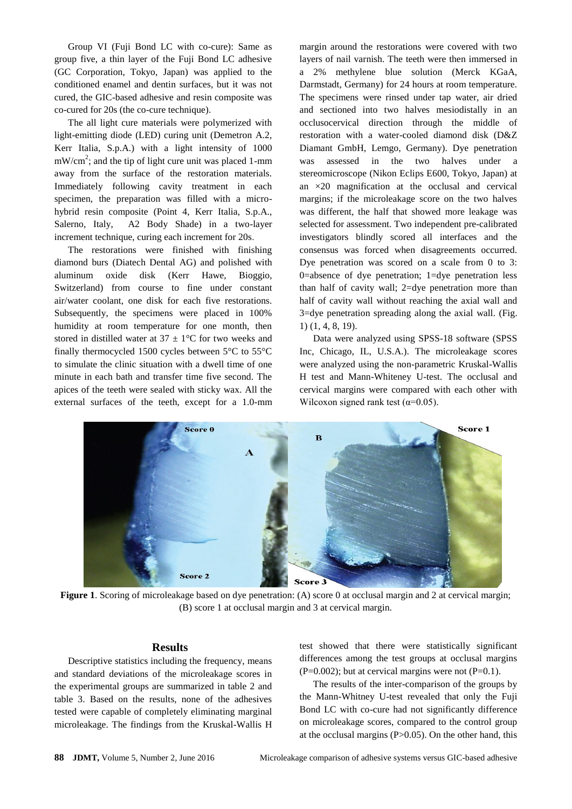Group VI (Fuji Bond LC with co-cure): Same as group five, a thin layer of the Fuji Bond LC adhesive (GC Corporation, Tokyo, Japan) was applied to the conditioned enamel and dentin surfaces, but it was not cured, the GIC-based adhesive and resin composite was co-cured for 20s (the co-cure technique).

The all light cure materials were polymerized with light-emitting diode (LED) curing unit (Demetron A.2, Kerr Italia, S.p.A.) with a light intensity of 1000  $mW/cm<sup>2</sup>$ ; and the tip of light cure unit was placed 1-mm away from the surface of the restoration materials. Immediately following cavity treatment in each specimen, the preparation was filled with a microhybrid resin composite (Point 4, Kerr Italia, S.p.A., Salerno, Italy, A2 Body Shade) in a two-layer increment technique, curing each increment for 20s.

The restorations were finished with finishing diamond burs (Diatech Dental AG) and polished with aluminum oxide disk (Kerr Hawe, Bioggio, Switzerland) from course to fine under constant air/water coolant, one disk for each five restorations. Subsequently, the specimens were placed in 100% humidity at room temperature for one month, then stored in distilled water at  $37 \pm 1$ °C for two weeks and finally thermocycled 1500 cycles between 5°C to 55°C to simulate the clinic situation with a dwell time of one minute in each bath and transfer time five second. The apices of the teeth were sealed with sticky wax. All the external surfaces of the teeth, except for a 1.0-mm margin around the restorations were covered with two layers of nail varnish. The teeth were then immersed in a 2% methylene blue solution (Merck KGaA, Darmstadt, Germany) for 24 hours at room temperature. The specimens were rinsed under tap water, air dried and sectioned into two halves mesiodistally in an occlusocervical direction through the middle of restoration with a water-cooled diamond disk (D&Z Diamant GmbH, Lemgo, Germany). Dye penetration was assessed in the two halves under a stereomicroscope (Nikon Eclips E600, Tokyo, Japan) at an ×20 magnification at the occlusal and cervical margins; if the microleakage score on the two halves was different, the half that showed more leakage was selected for assessment. Two independent pre-calibrated investigators blindly scored all interfaces and the consensus was forced when disagreements occurred. Dye penetration was scored on a scale from 0 to 3: 0=absence of dye penetration; 1=dye penetration less than half of cavity wall; 2=dye penetration more than half of cavity wall without reaching the axial wall and 3=dye penetration spreading along the axial wall. (Fig. 1) (1, 4, 8, 19).

Data were analyzed using SPSS-18 software (SPSS Inc, Chicago, IL, U.S.A.). The microleakage scores were analyzed using the non-parametric Kruskal-Wallis H test and Mann-Whiteney U-test. The occlusal and cervical margins were compared with each other with Wilcoxon signed rank test ( $\alpha$ =0.05).



**Figure 1.** Scoring of microleakage based on dye penetration: (A) score 0 at occlusal margin and 2 at cervical margin; (B) score 1 at occlusal margin and 3 at cervical margin.

#### **Results**

Descriptive statistics including the frequency, means and standard deviations of the microleakage scores in the experimental groups are summarized in table 2 and table 3. Based on the results, none of the adhesives tested were capable of completely eliminating marginal microleakage. The findings from the Kruskal-Wallis H

test showed that there were statistically significant differences among the test groups at occlusal margins  $(P=0.002)$ ; but at cervical margins were not  $(P=0.1)$ .

The results of the inter-comparison of the groups by the Mann-Whitney U-test revealed that only the Fuji Bond LC with co-cure had not significantly difference on microleakage scores, compared to the control group at the occlusal margins  $(P>0.05)$ . On the other hand, this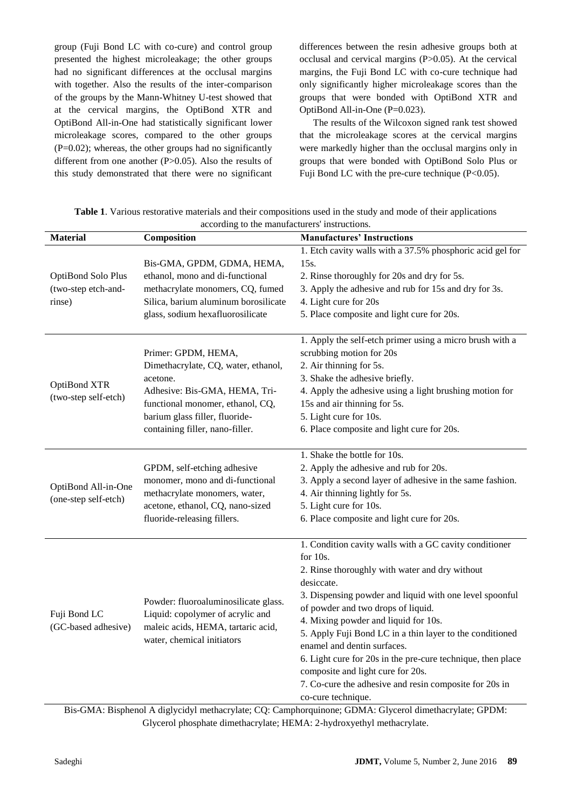group (Fuji Bond LC with co-cure) and control group presented the highest microleakage; the other groups had no significant differences at the occlusal margins with together. Also the results of the inter-comparison of the groups by the Mann-Whitney U-test showed that at the cervical margins, the OptiBond XTR and OptiBond All-in-One had statistically significant lower microleakage scores, compared to the other groups  $(P=0.02)$ ; whereas, the other groups had no significantly different from one another (P>0.05). Also the results of this study demonstrated that there were no significant

differences between the resin adhesive groups both at occlusal and cervical margins (P>0.05). At the cervical margins, the Fuji Bond LC with co-cure technique had only significantly higher microleakage scores than the groups that were bonded with OptiBond XTR and OptiBond All-in-One  $(P=0.023)$ .

The results of the Wilcoxon signed rank test showed that the microleakage scores at the cervical margins were markedly higher than the occlusal margins only in groups that were bonded with OptiBond Solo Plus or Fuji Bond LC with the pre-cure technique (P<0.05).

| <b>Material</b>                                                                                                    | Composition                                                                                                                                  | <b>Manufactures' Instructions</b>                           |  |
|--------------------------------------------------------------------------------------------------------------------|----------------------------------------------------------------------------------------------------------------------------------------------|-------------------------------------------------------------|--|
|                                                                                                                    |                                                                                                                                              | 1. Etch cavity walls with a 37.5% phosphoric acid gel for   |  |
| OptiBond Solo Plus                                                                                                 | Bis-GMA, GPDM, GDMA, HEMA,                                                                                                                   | 15s.                                                        |  |
|                                                                                                                    | ethanol, mono and di-functional                                                                                                              | 2. Rinse thoroughly for 20s and dry for 5s.                 |  |
| (two-step etch-and-                                                                                                | methacrylate monomers, CQ, fumed                                                                                                             | 3. Apply the adhesive and rub for 15s and dry for 3s.       |  |
| rinse)                                                                                                             | Silica, barium aluminum borosilicate                                                                                                         | 4. Light cure for 20s                                       |  |
|                                                                                                                    | glass, sodium hexafluorosilicate                                                                                                             | 5. Place composite and light cure for 20s.                  |  |
|                                                                                                                    |                                                                                                                                              |                                                             |  |
| OptiBond XTR<br>(two-step self-etch)                                                                               |                                                                                                                                              | 1. Apply the self-etch primer using a micro brush with a    |  |
|                                                                                                                    | Primer: GPDM, HEMA,                                                                                                                          | scrubbing motion for 20s                                    |  |
|                                                                                                                    | Dimethacrylate, CQ, water, ethanol,                                                                                                          | 2. Air thinning for 5s.                                     |  |
|                                                                                                                    | acetone.                                                                                                                                     | 3. Shake the adhesive briefly.                              |  |
|                                                                                                                    | Adhesive: Bis-GMA, HEMA, Tri-                                                                                                                | 4. Apply the adhesive using a light brushing motion for     |  |
|                                                                                                                    | functional monomer, ethanol, CQ,                                                                                                             | 15s and air thinning for 5s.                                |  |
|                                                                                                                    | barium glass filler, fluoride-                                                                                                               | 5. Light cure for 10s.                                      |  |
|                                                                                                                    | containing filler, nano-filler.                                                                                                              | 6. Place composite and light cure for 20s.                  |  |
|                                                                                                                    |                                                                                                                                              | 1. Shake the bottle for 10s.                                |  |
| OptiBond All-in-One<br>(one-step self-etch)                                                                        | GPDM, self-etching adhesive<br>monomer, mono and di-functional                                                                               | 2. Apply the adhesive and rub for 20s.                      |  |
|                                                                                                                    |                                                                                                                                              | 3. Apply a second layer of adhesive in the same fashion.    |  |
|                                                                                                                    | methacrylate monomers, water,                                                                                                                | 4. Air thinning lightly for 5s.                             |  |
|                                                                                                                    | acetone, ethanol, CQ, nano-sized                                                                                                             | 5. Light cure for 10s.                                      |  |
|                                                                                                                    | fluoride-releasing fillers.                                                                                                                  | 6. Place composite and light cure for 20s.                  |  |
|                                                                                                                    |                                                                                                                                              |                                                             |  |
| Fuji Bond LC<br>(GC-based adhesive)                                                                                |                                                                                                                                              | 1. Condition cavity walls with a GC cavity conditioner      |  |
|                                                                                                                    |                                                                                                                                              | for 10s.                                                    |  |
|                                                                                                                    | Powder: fluoroaluminosilicate glass.<br>Liquid: copolymer of acrylic and<br>maleic acids, HEMA, tartaric acid,<br>water, chemical initiators | 2. Rinse thoroughly with water and dry without              |  |
|                                                                                                                    |                                                                                                                                              | desiccate.                                                  |  |
|                                                                                                                    |                                                                                                                                              | 3. Dispensing powder and liquid with one level spoonful     |  |
|                                                                                                                    |                                                                                                                                              | of powder and two drops of liquid.                          |  |
|                                                                                                                    |                                                                                                                                              | 4. Mixing powder and liquid for 10s.                        |  |
|                                                                                                                    |                                                                                                                                              | 5. Apply Fuji Bond LC in a thin layer to the conditioned    |  |
|                                                                                                                    |                                                                                                                                              | enamel and dentin surfaces.                                 |  |
|                                                                                                                    |                                                                                                                                              | 6. Light cure for 20s in the pre-cure technique, then place |  |
|                                                                                                                    |                                                                                                                                              | composite and light cure for 20s.                           |  |
|                                                                                                                    |                                                                                                                                              | 7. Co-cure the adhesive and resin composite for 20s in      |  |
|                                                                                                                    |                                                                                                                                              | co-cure technique.                                          |  |
| $Ris-GMA$ . Bisphenol A diglycidyl methacrylate: $CO$ . Camphoroninone: $GDMA$ . Glycerol dimethacrylate: $GPDM$ . |                                                                                                                                              |                                                             |  |

**Table 1**. Various restorative materials and their compositions used in the study and mode of their applications according to the manufacturers' instructions.

Bis-GMA: Bisphenol A diglycidyl methacrylate; CQ: Camphorquinone; GDMA: Glycerol dimethacrylate; GPDM: Glycerol phosphate dimethacrylate; HEMA: 2-hydroxyethyl methacrylate.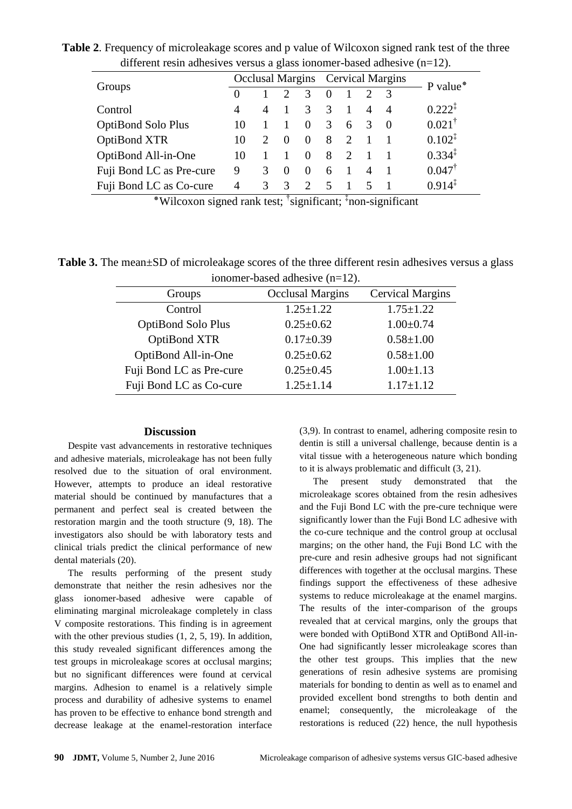different resin adhesives versus a glass ionomer-based adhesive (n=12). Groups Occlusal Margins Cervical Margins P value\*<br> $\frac{0}{0}$  1 2 3 0 1 2 3 0 1 2 3 0 1 2 3 Control 4 4 1 3 3 1 4 4 0.222<sup> $\ddagger$ </sup> OptiBond Solo Plus  $10 \t 1 \t 1 \t 0 \t 3 \t 6 \t 3 \t 0 \t 0.021^{\dagger}$ OptiBond XTR 10 2 0 0 8 2 1 1 0.102<sup>‡</sup> OptiBond All-in-One  $10 \t 1 \t 1 \t 0 \t 8 \t 2 \t 1 \t 1 \t 0.334^{\frac{1}{4}}$ Fuji Bond LC as Pre-cure 9 3 0 0 6 1 4 1 0.047<sup>†</sup> Fuji Bond LC as Co-cure  $\begin{pmatrix} 4 & 3 & 3 & 2 & 5 & 1 & 5 & 1 & 0.914 \end{pmatrix}^{\frac{1}{4}}$ 

**Table 2**. Frequency of microleakage scores and p value of Wilcoxon signed rank test of the three

\*Wilcoxon signed rank test; <sup>†</sup>significant; <sup>‡</sup>non-significant

Table 3. The mean $\pm$ SD of microleakage scores of the three different resin adhesives versus a glass ionomer-based adhesive (n=12).

| Groups                    | <b>Occlusal Margins</b> | <b>Cervical Margins</b> |  |  |
|---------------------------|-------------------------|-------------------------|--|--|
| Control                   | $1.25 \pm 1.22$         | $1.75 \pm 1.22$         |  |  |
| <b>OptiBond Solo Plus</b> | $0.25 \pm 0.62$         | $1.00 \pm 0.74$         |  |  |
| OptiBond XTR              | $0.17 \pm 0.39$         | $0.58 \pm 1.00$         |  |  |
| OptiBond All-in-One       | $0.25 \pm 0.62$         | $0.58 \pm 1.00$         |  |  |
| Fuji Bond LC as Pre-cure  | $0.25 \pm 0.45$         | $1.00 \pm 1.13$         |  |  |
| Fuji Bond LC as Co-cure   | $1.25 \pm 1.14$         | $1.17 \pm 1.12$         |  |  |

# **Discussion**

Despite vast advancements in restorative techniques and adhesive materials, microleakage has not been fully resolved due to the situation of oral environment. However, attempts to produce an ideal restorative material should be continued by manufactures that a permanent and perfect seal is created between the restoration margin and the tooth structure (9, 18). The investigators also should be with laboratory tests and clinical trials predict the clinical performance of new dental materials (20).

The results performing of the present study demonstrate that neither the resin adhesives nor the glass ionomer-based adhesive were capable of eliminating marginal microleakage completely in class V composite restorations. This finding is in agreement with the other previous studies (1, 2, 5, 19). In addition, this study revealed significant differences among the test groups in microleakage scores at occlusal margins; but no significant differences were found at cervical margins. Adhesion to enamel is a relatively simple process and durability of adhesive systems to enamel has proven to be effective to enhance bond strength and decrease leakage at the enamel-restoration interface

(3,9). In contrast to enamel, adhering composite resin to dentin is still a universal challenge, because dentin is a vital tissue with a heterogeneous nature which bonding to it is always problematic and difficult (3, 21).

The present study demonstrated that the microleakage scores obtained from the resin adhesives and the Fuji Bond LC with the pre-cure technique were significantly lower than the Fuji Bond LC adhesive with the co-cure technique and the control group at occlusal margins; on the other hand, the Fuji Bond LC with the pre-cure and resin adhesive groups had not significant differences with together at the occlusal margins. These findings support the effectiveness of these adhesive systems to reduce microleakage at the enamel margins. The results of the inter-comparison of the groups revealed that at cervical margins, only the groups that were bonded with OptiBond XTR and OptiBond All-in-One had significantly lesser microleakage scores than the other test groups. This implies that the new generations of resin adhesive systems are promising materials for bonding to dentin as well as to enamel and provided excellent bond strengths to both dentin and enamel; consequently, the microleakage of the restorations is reduced (22) hence, the null hypothesis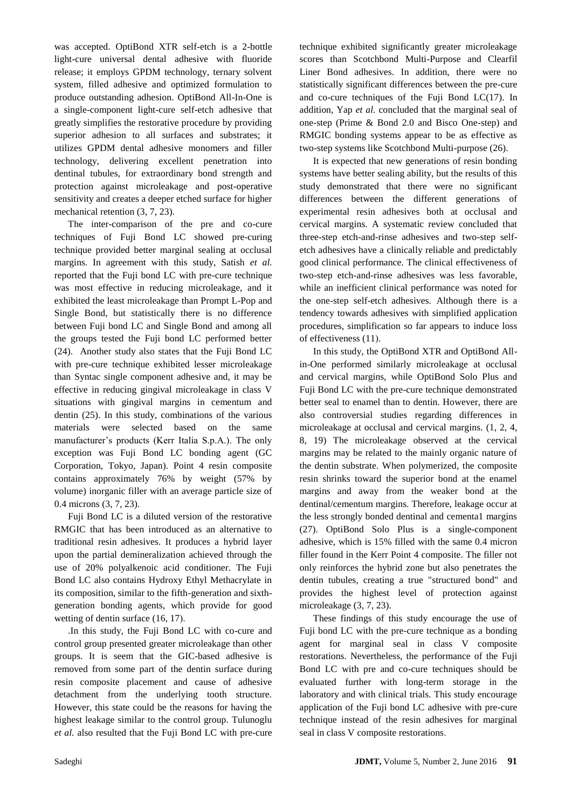was accepted. OptiBond XTR self-etch is a 2-bottle light-cure universal dental adhesive with fluoride release; it employs GPDM technology, ternary solvent system, filled adhesive and optimized formulation to produce outstanding adhesion. OptiBond All-In-One is a single-component light-cure self-etch adhesive that greatly simplifies the restorative procedure by providing superior adhesion to all surfaces and substrates; it utilizes GPDM dental adhesive monomers and filler technology, delivering excellent penetration into dentinal tubules, for extraordinary bond strength and protection against microleakage and post-operative sensitivity and creates a deeper etched surface for higher mechanical retention (3, 7, 23).

The inter-comparison of the pre and co-cure techniques of Fuji Bond LC showed pre-curing technique provided better marginal sealing at occlusal margins. In agreement with this study, Satish *et al.* reported that the Fuji bond LC with pre-cure technique was most effective in reducing microleakage, and it exhibited the least microleakage than Prompt L-Pop and Single Bond, but statistically there is no difference between Fuji bond LC and Single Bond and among all the groups tested the Fuji bond LC performed better (24). Another study also states that the Fuji Bond LC with pre-cure technique exhibited lesser microleakage than Syntac single component adhesive and, it may be effective in reducing gingival microleakage in class V situations with gingival margins in cementum and dentin (25). In this study, combinations of the various materials were selected based on the same manufacturer's products (Kerr Italia S.p.A.). The only exception was Fuji Bond LC bonding agent (GC Corporation, Tokyo, Japan). Point 4 resin composite contains approximately 76% by weight (57% by volume) inorganic filler with an average particle size of 0.4 microns (3, 7, 23).

Fuji Bond LC is a diluted version of the restorative RMGIC that has been introduced as an alternative to traditional resin adhesives. It produces a hybrid layer upon the partial demineralization achieved through the use of 20% polyalkenoic acid conditioner. The Fuji Bond LC also contains Hydroxy Ethyl Methacrylate in its composition, similar to the fifth-generation and sixthgeneration bonding agents, which provide for good wetting of dentin surface  $(16, 17)$ .

.In this study, the Fuji Bond LC with co-cure and control group presented greater microleakage than other groups. It is seem that the GIC-based adhesive is removed from some part of the dentin surface during resin composite placement and cause of adhesive detachment from the underlying tooth structure. However, this state could be the reasons for having the highest leakage similar to the control group. Tulunoglu *et al.* also resulted that the Fuji Bond LC with pre-cure technique exhibited significantly greater microleakage scores than Scotchbond Multi-Purpose and Clearfil Liner Bond adhesives. In addition, there were no statistically significant differences between the pre-cure and co-cure techniques of the Fuji Bond LC(17). In addition, Yap *et al.* concluded that the marginal seal of one-step (Prime & Bond 2.0 and Bisco One-step) and RMGIC bonding systems appear to be as effective as two-step systems like Scotchbond Multi-purpose (26).

It is expected that new generations of resin bonding systems have better sealing ability, but the results of this study demonstrated that there were no significant differences between the different generations of experimental resin adhesives both at occlusal and cervical margins. A systematic review concluded that three-step etch-and-rinse adhesives and two-step selfetch adhesives have a clinically reliable and predictably good clinical performance. The clinical effectiveness of two-step etch-and-rinse adhesives was less favorable, while an inefficient clinical performance was noted for the one-step self-etch adhesives. Although there is a tendency towards adhesives with simplified application procedures, simplification so far appears to induce loss of effectiveness (11).

In this study, the OptiBond XTR and OptiBond Allin-One performed similarly microleakage at occlusal and cervical margins, while OptiBond Solo Plus and Fuji Bond LC with the pre-cure technique demonstrated better seal to enamel than to dentin. However, there are also controversial studies regarding differences in microleakage at occlusal and cervical margins. (1, 2, 4, 8, 19) The microleakage observed at the cervical margins may be related to the mainly organic nature of the dentin substrate. When polymerized, the composite resin shrinks toward the superior bond at the enamel margins and away from the weaker bond at the dentinal/cementum margins. Therefore, leakage occur at the less strongly bonded dentinal and cementa1 margins (27). OptiBond Solo Plus is a single-component adhesive, which is 15% filled with the same 0.4 micron filler found in the Kerr Point 4 composite. The filler not only reinforces the hybrid zone but also penetrates the dentin tubules, creating a true "structured bond" and provides the highest level of protection against microleakage (3, 7, 23).

These findings of this study encourage the use of Fuji bond LC with the pre-cure technique as a bonding agent for marginal seal in class V composite restorations. Nevertheless, the performance of the Fuji Bond LC with pre and co-cure techniques should be evaluated further with long-term storage in the laboratory and with clinical trials. This study encourage application of the Fuji bond LC adhesive with pre-cure technique instead of the resin adhesives for marginal seal in class V composite restorations.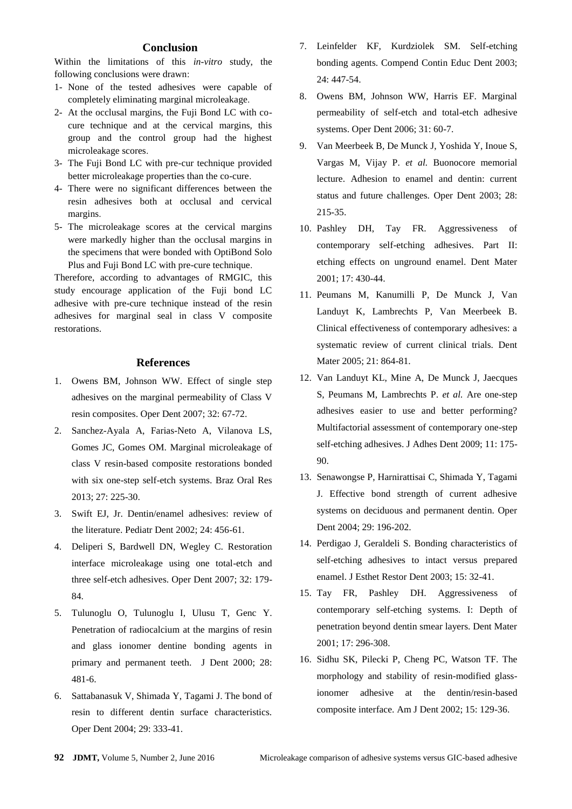# **Conclusion**

Within the limitations of this *in-vitro* study, the following conclusions were drawn:

- 1- None of the tested adhesives were capable of completely eliminating marginal microleakage.
- 2- At the occlusal margins, the Fuji Bond LC with cocure technique and at the cervical margins, this group and the control group had the highest microleakage scores.
- 3- The Fuji Bond LC with pre-cur technique provided better microleakage properties than the co-cure.
- 4- There were no significant differences between the resin adhesives both at occlusal and cervical margins.
- 5- The microleakage scores at the cervical margins were markedly higher than the occlusal margins in the specimens that were bonded with OptiBond Solo Plus and Fuji Bond LC with pre-cure technique.

Therefore, according to advantages of RMGIC, this study encourage application of the Fuji bond LC adhesive with pre-cure technique instead of the resin adhesives for marginal seal in class V composite restorations.

#### **References**

- 1. Owens BM, Johnson WW. Effect of single step adhesives on the marginal permeability of Class V resin composites. Oper Dent 2007; 32: 67-72.
- 2. Sanchez-Ayala A, Farias-Neto A, Vilanova LS, Gomes JC, Gomes OM. Marginal microleakage of class V resin-based composite restorations bonded with six one-step self-etch systems. Braz Oral Res 2013; 27: 225-30.
- 3. Swift EJ, Jr. Dentin/enamel adhesives: review of the literature. Pediatr Dent 2002; 24: 456-61.
- 4. Deliperi S, Bardwell DN, Wegley C. Restoration interface microleakage using one total-etch and three self-etch adhesives. Oper Dent 2007; 32: 179- 84.
- 5. Tulunoglu O, Tulunoglu I, Ulusu T, Genc Y. Penetration of radiocalcium at the margins of resin and glass ionomer dentine bonding agents in primary and permanent teeth. J Dent 2000; 28: 481-6.
- 6. Sattabanasuk V, Shimada Y, Tagami J. The bond of resin to different dentin surface characteristics. Oper Dent 2004; 29: 333-41.
- 7. Leinfelder KF, Kurdziolek SM. Self-etching bonding agents. Compend Contin Educ Dent 2003; 24: 447-54.
- 8. Owens BM, Johnson WW, Harris EF. Marginal permeability of self-etch and total-etch adhesive systems. Oper Dent 2006; 31: 60-7.
- 9. Van Meerbeek B, De Munck J, Yoshida Y, Inoue S, Vargas M, Vijay P. *et al.* Buonocore memorial lecture. Adhesion to enamel and dentin: current status and future challenges. Oper Dent 2003; 28: 215-35.
- 10. Pashley DH, Tay FR. Aggressiveness of contemporary self-etching adhesives. Part II: etching effects on unground enamel. Dent Mater 2001; 17: 430-44.
- 11. Peumans M, Kanumilli P, De Munck J, Van Landuyt K, Lambrechts P, Van Meerbeek B. Clinical effectiveness of contemporary adhesives: a systematic review of current clinical trials. Dent Mater 2005; 21: 864-81.
- 12. Van Landuyt KL, Mine A, De Munck J, Jaecques S, Peumans M, Lambrechts P. *et al.* Are one-step adhesives easier to use and better performing? Multifactorial assessment of contemporary one-step self-etching adhesives. J Adhes Dent 2009; 11: 175- 90.
- 13. Senawongse P, Harnirattisai C, Shimada Y, Tagami J. Effective bond strength of current adhesive systems on deciduous and permanent dentin. Oper Dent 2004; 29: 196-202.
- 14. Perdigao J, Geraldeli S. Bonding characteristics of self-etching adhesives to intact versus prepared enamel. J Esthet Restor Dent 2003; 15: 32-41.
- 15. Tay FR, Pashley DH. Aggressiveness of contemporary self-etching systems. I: Depth of penetration beyond dentin smear layers. Dent Mater 2001; 17: 296-308.
- 16. Sidhu SK, Pilecki P, Cheng PC, Watson TF. The morphology and stability of resin-modified glassionomer adhesive at the dentin/resin-based composite interface. Am J Dent 2002; 15: 129-36.